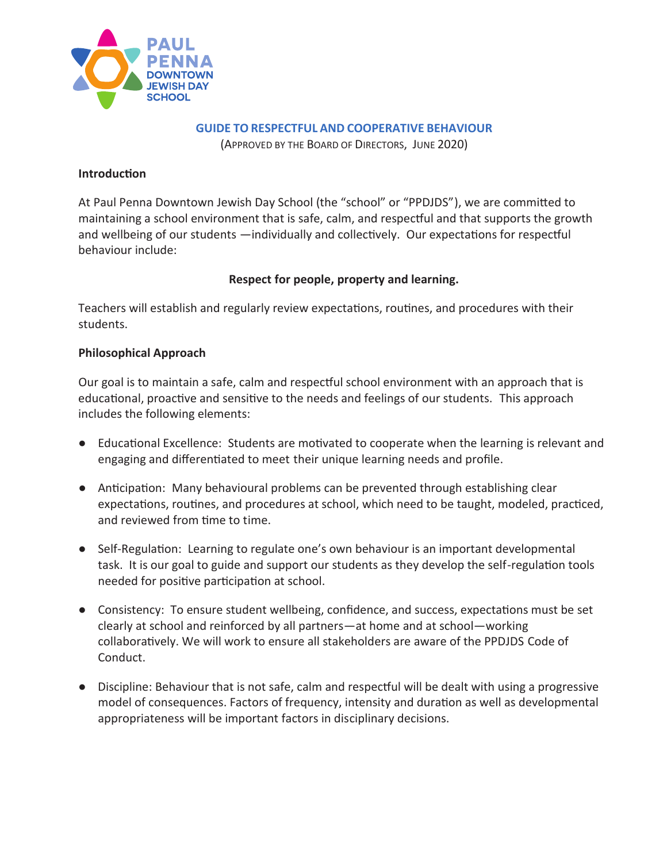

**GUIDE TO RESPECTFUL AND COOPERATIVE BEHAVIOUR**

(APPROVED BY THE BOARD OF DIRECTORS, JUNE 2020)

#### **Introduction**

At Paul Penna Downtown Jewish Day School (the "school" or "PPDJDS"), we are committed to maintaining a school environment that is safe, calm, and respectful and that supports the growth and wellbeing of our students —individually and collectively. Our expectations for respectful behaviour include:

## **Respect for people, property and learning.**

Teachers will establish and regularly review expectations, routines, and procedures with their students.

## **Philosophical Approach**

Our goal is to maintain a safe, calm and respectful school environment with an approach that is educational, proactive and sensitive to the needs and feelings of our students. This approach includes the following elements:

- Educational Excellence: Students are motivated to cooperate when the learning is relevant and engaging and differentiated to meet their unique learning needs and profile.
- Anticipation: Many behavioural problems can be prevented through establishing clear expectations, routines, and procedures at school, which need to be taught, modeled, practiced, and reviewed from time to time.
- Self-Regulation: Learning to regulate one's own behaviour is an important developmental task. It is our goal to guide and support our students as they develop the self-regulation tools needed for positive participation at school.
- Consistency: To ensure student wellbeing, confidence, and success, expectations must be set clearly at school and reinforced by all partners—at home and at school—working collaboratively. We will work to ensure all stakeholders are aware of the PPDJDS Code of Conduct.
- Discipline: Behaviour that is not safe, calm and respectful will be dealt with using a progressive model of consequences. Factors of frequency, intensity and duration as well as developmental appropriateness will be important factors in disciplinary decisions.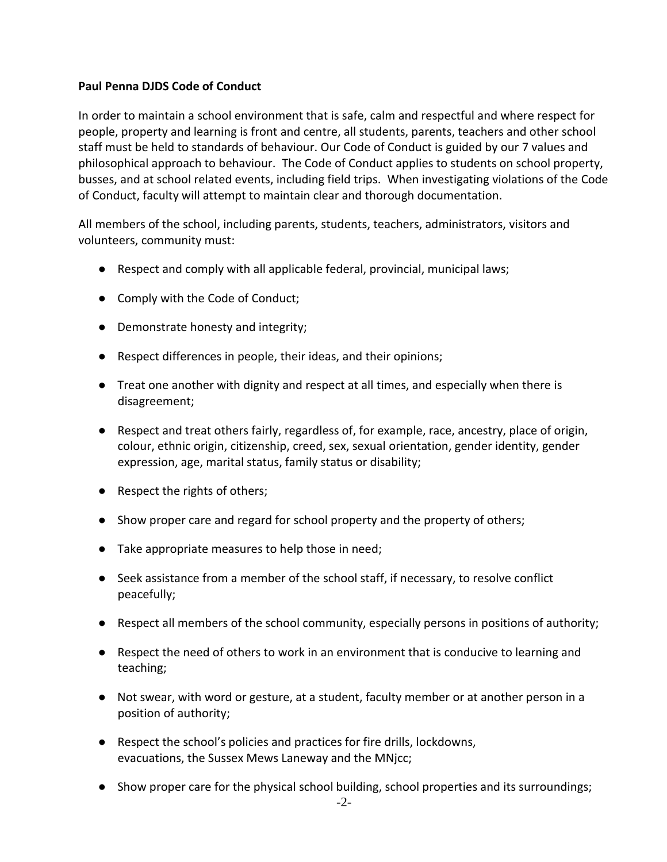#### **Paul Penna DJDS Code of Conduct**

In order to maintain a school environment that is safe, calm and respectful and where respect for people, property and learning is front and centre, all students, parents, teachers and other school staff must be held to standards of behaviour. Our Code of Conduct is guided by our 7 values and philosophical approach to behaviour. The Code of Conduct applies to students on school property, busses, and at school related events, including field trips. When investigating violations of the Code of Conduct, faculty will attempt to maintain clear and thorough documentation.

All members of the school, including parents, students, teachers, administrators, visitors and volunteers, community must:

- Respect and comply with all applicable federal, provincial, municipal laws;
- Comply with the Code of Conduct;
- Demonstrate honesty and integrity;
- Respect differences in people, their ideas, and their opinions;
- Treat one another with dignity and respect at all times, and especially when there is disagreement;
- Respect and treat others fairly, regardless of, for example, race, ancestry, place of origin, colour, ethnic origin, citizenship, creed, sex, sexual orientation, gender identity, gender expression, age, marital status, family status or disability;
- Respect the rights of others;
- Show proper care and regard for school property and the property of others;
- Take appropriate measures to help those in need;
- Seek assistance from a member of the school staff, if necessary, to resolve conflict peacefully;
- Respect all members of the school community, especially persons in positions of authority;
- Respect the need of others to work in an environment that is conducive to learning and teaching;
- Not swear, with word or gesture, at a student, faculty member or at another person in a position of authority;
- Respect the school's policies and practices for fire drills, lockdowns, evacuations, the Sussex Mews Laneway and the MNjcc;
- Show proper care for the physical school building, school properties and its surroundings;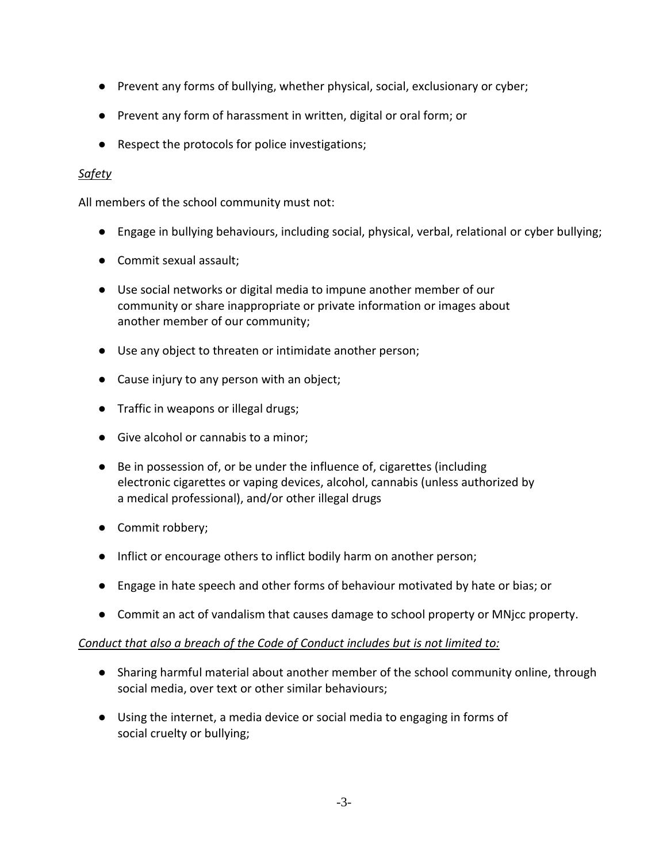- Prevent any forms of bullying, whether physical, social, exclusionary or cyber;
- Prevent any form of harassment in written, digital or oral form; or
- Respect the protocols for police investigations;

## *Safety*

All members of the school community must not:

- Engage in bullying behaviours, including social, physical, verbal, relational or cyber bullying;
- Commit sexual assault;
- Use social networks or digital media to impune another member of our community or share inappropriate or private information or images about another member of our community;
- Use any object to threaten or intimidate another person;
- Cause injury to any person with an object;
- Traffic in weapons or illegal drugs;
- Give alcohol or cannabis to a minor;
- Be in possession of, or be under the influence of, cigarettes (including electronic cigarettes or vaping devices, alcohol, cannabis (unless authorized by a medical professional), and/or other illegal drugs
- Commit robbery;
- Inflict or encourage others to inflict bodily harm on another person;
- Engage in hate speech and other forms of behaviour motivated by hate or bias; or
- Commit an act of vandalism that causes damage to school property or MNjcc property.

## *Conduct that also a breach of the Code of Conduct includes but is not limited to:*

- Sharing harmful material about another member of the school community online, through social media, over text or other similar behaviours;
- Using the internet, a media device or social media to engaging in forms of social cruelty or bullying;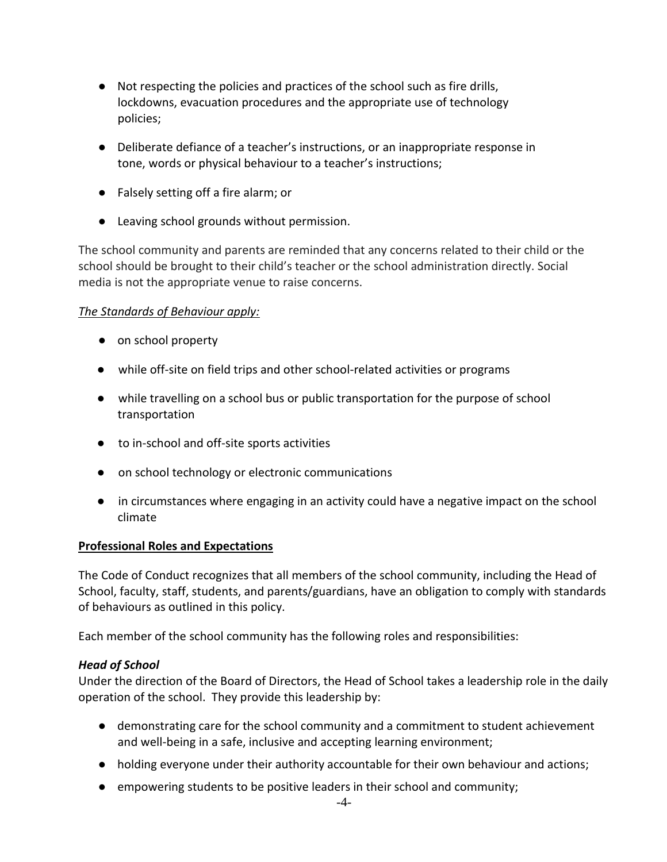- Not respecting the policies and practices of the school such as fire drills, lockdowns, evacuation procedures and the appropriate use of technology policies;
- Deliberate defiance of a teacher's instructions, or an inappropriate response in tone, words or physical behaviour to a teacher's instructions;
- Falsely setting off a fire alarm; or
- Leaving school grounds without permission.

The school community and parents are reminded that any concerns related to their child or the school should be brought to their child's teacher or the school administration directly. Social media is not the appropriate venue to raise concerns.

#### *The Standards of Behaviour apply:*

- on school property
- while off-site on field trips and other school-related activities or programs
- while travelling on a school bus or public transportation for the purpose of school transportation
- to in-school and off-site sports activities
- on school technology or electronic communications
- in circumstances where engaging in an activity could have a negative impact on the school climate

## **Professional Roles and Expectations**

The Code of Conduct recognizes that all members of the school community, including the Head of School, faculty, staff, students, and parents/guardians, have an obligation to comply with standards of behaviours as outlined in this policy.

Each member of the school community has the following roles and responsibilities:

## *Head of School*

Under the direction of the Board of Directors, the Head of School takes a leadership role in the daily operation of the school. They provide this leadership by:

- demonstrating care for the school community and a commitment to student achievement and well-being in a safe, inclusive and accepting learning environment;
- holding everyone under their authority accountable for their own behaviour and actions;
- empowering students to be positive leaders in their school and community;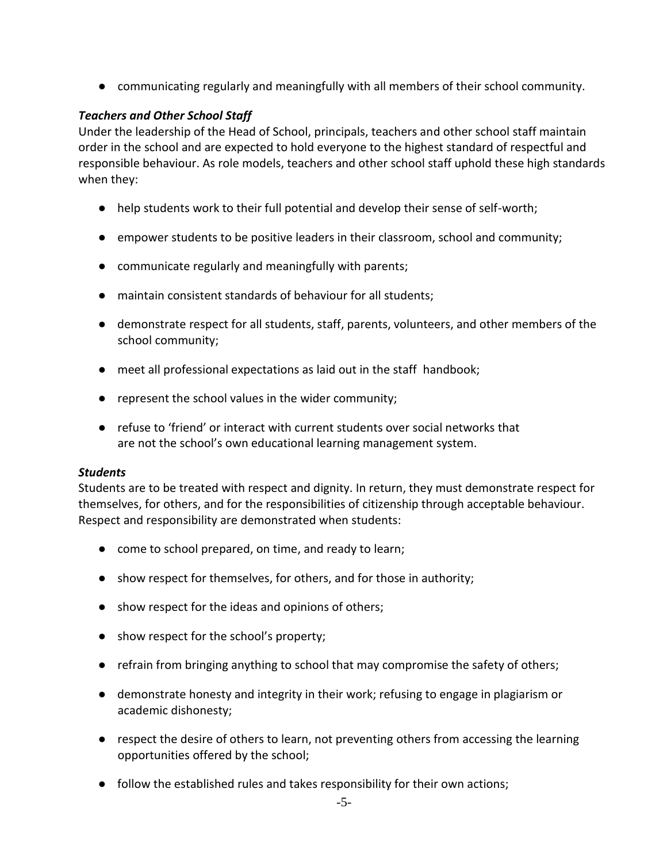● communicating regularly and meaningfully with all members of their school community.

#### *Teachers and Other School Staff*

Under the leadership of the Head of School, principals, teachers and other school staff maintain order in the school and are expected to hold everyone to the highest standard of respectful and responsible behaviour. As role models, teachers and other school staff uphold these high standards when they:

- help students work to their full potential and develop their sense of self-worth;
- empower students to be positive leaders in their classroom, school and community;
- communicate regularly and meaningfully with parents;
- maintain consistent standards of behaviour for all students;
- demonstrate respect for all students, staff, parents, volunteers, and other members of the school community;
- meet all professional expectations as laid out in the staff handbook;
- represent the school values in the wider community;
- refuse to 'friend' or interact with current students over social networks that are not the school's own educational learning management system.

#### *Students*

Students are to be treated with respect and dignity. In return, they must demonstrate respect for themselves, for others, and for the responsibilities of citizenship through acceptable behaviour. Respect and responsibility are demonstrated when students:

- come to school prepared, on time, and ready to learn;
- show respect for themselves, for others, and for those in authority;
- show respect for the ideas and opinions of others;
- show respect for the school's property;
- refrain from bringing anything to school that may compromise the safety of others;
- demonstrate honesty and integrity in their work; refusing to engage in plagiarism or academic dishonesty;
- respect the desire of others to learn, not preventing others from accessing the learning opportunities offered by the school;
- follow the established rules and takes responsibility for their own actions;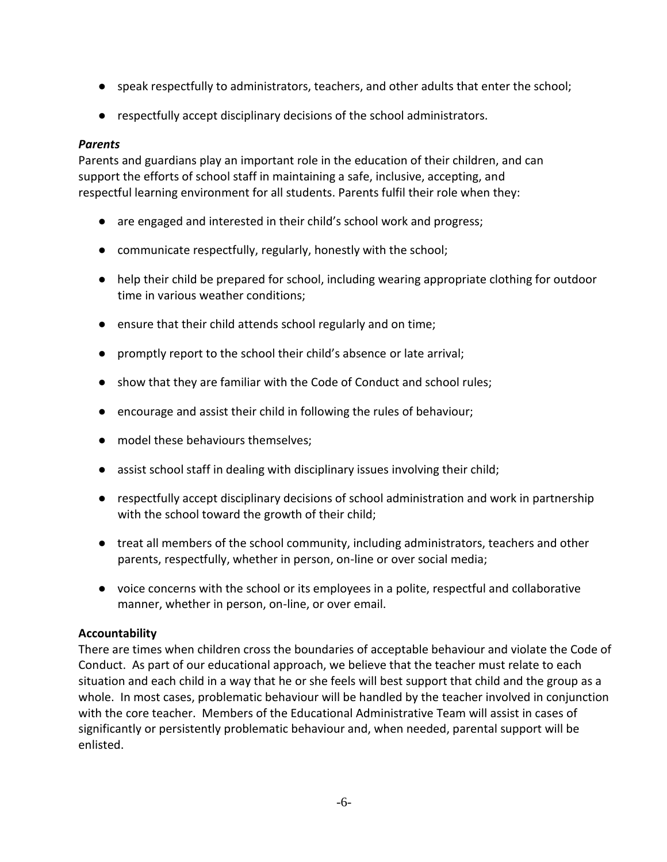- speak respectfully to administrators, teachers, and other adults that enter the school;
- respectfully accept disciplinary decisions of the school administrators.

#### *Parents*

Parents and guardians play an important role in the education of their children, and can support the efforts of school staff in maintaining a safe, inclusive, accepting, and respectful learning environment for all students. Parents fulfil their role when they:

- are engaged and interested in their child's school work and progress;
- communicate respectfully, regularly, honestly with the school;
- help their child be prepared for school, including wearing appropriate clothing for outdoor time in various weather conditions;
- ensure that their child attends school regularly and on time;
- promptly report to the school their child's absence or late arrival;
- show that they are familiar with the Code of Conduct and school rules;
- encourage and assist their child in following the rules of behaviour;
- model these behaviours themselves;
- assist school staff in dealing with disciplinary issues involving their child;
- respectfully accept disciplinary decisions of school administration and work in partnership with the school toward the growth of their child;
- treat all members of the school community, including administrators, teachers and other parents, respectfully, whether in person, on-line or over social media;
- voice concerns with the school or its employees in a polite, respectful and collaborative manner, whether in person, on-line, or over email.

## **Accountability**

There are times when children cross the boundaries of acceptable behaviour and violate the Code of Conduct. As part of our educational approach, we believe that the teacher must relate to each situation and each child in a way that he or she feels will best support that child and the group as a whole. In most cases, problematic behaviour will be handled by the teacher involved in conjunction with the core teacher. Members of the Educational Administrative Team will assist in cases of significantly or persistently problematic behaviour and, when needed, parental support will be enlisted.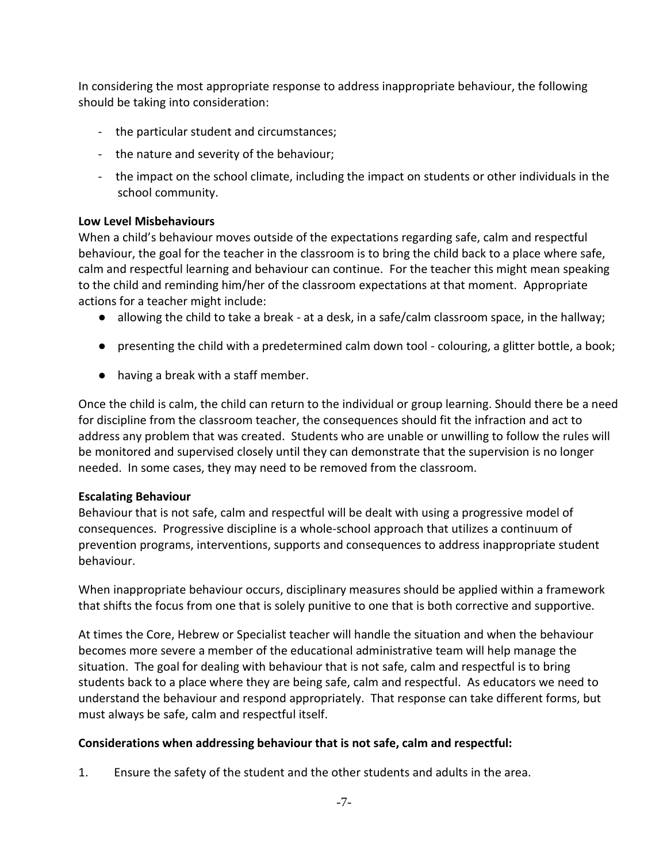In considering the most appropriate response to address inappropriate behaviour, the following should be taking into consideration:

- the particular student and circumstances;
- the nature and severity of the behaviour;
- the impact on the school climate, including the impact on students or other individuals in the school community.

#### **Low Level Misbehaviours**

When a child's behaviour moves outside of the expectations regarding safe, calm and respectful behaviour, the goal for the teacher in the classroom is to bring the child back to a place where safe, calm and respectful learning and behaviour can continue. For the teacher this might mean speaking to the child and reminding him/her of the classroom expectations at that moment. Appropriate actions for a teacher might include:

- allowing the child to take a break at a desk, in a safe/calm classroom space, in the hallway;
- presenting the child with a predetermined calm down tool colouring, a glitter bottle, a book;
- having a break with a staff member.

Once the child is calm, the child can return to the individual or group learning. Should there be a need for discipline from the classroom teacher, the consequences should fit the infraction and act to address any problem that was created. Students who are unable or unwilling to follow the rules will be monitored and supervised closely until they can demonstrate that the supervision is no longer needed. In some cases, they may need to be removed from the classroom.

#### **Escalating Behaviour**

Behaviour that is not safe, calm and respectful will be dealt with using a progressive model of consequences. Progressive discipline is a whole-school approach that utilizes a continuum of prevention programs, interventions, supports and consequences to address inappropriate student behaviour.

When inappropriate behaviour occurs, disciplinary measures should be applied within a framework that shifts the focus from one that is solely punitive to one that is both corrective and supportive.

At times the Core, Hebrew or Specialist teacher will handle the situation and when the behaviour becomes more severe a member of the educational administrative team will help manage the situation. The goal for dealing with behaviour that is not safe, calm and respectful is to bring students back to a place where they are being safe, calm and respectful. As educators we need to understand the behaviour and respond appropriately. That response can take different forms, but must always be safe, calm and respectful itself.

## **Considerations when addressing behaviour that is not safe, calm and respectful:**

1. Ensure the safety of the student and the other students and adults in the area.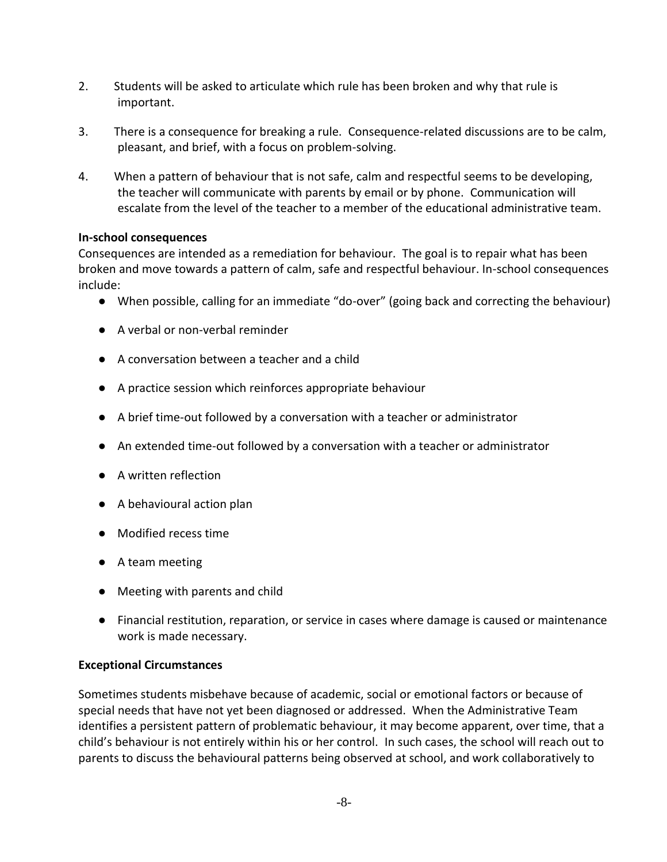- 2. Students will be asked to articulate which rule has been broken and why that rule is important.
- 3. There is a consequence for breaking a rule. Consequence-related discussions are to be calm, pleasant, and brief, with a focus on problem-solving.
- 4. When a pattern of behaviour that is not safe, calm and respectful seems to be developing, the teacher will communicate with parents by email or by phone. Communication will escalate from the level of the teacher to a member of the educational administrative team.

#### **In-school consequences**

Consequences are intended as a remediation for behaviour. The goal is to repair what has been broken and move towards a pattern of calm, safe and respectful behaviour. In-school consequences include:

- When possible, calling for an immediate "do-over" (going back and correcting the behaviour)
- A verbal or non-verbal reminder
- A conversation between a teacher and a child
- A practice session which reinforces appropriate behaviour
- A brief time-out followed by a conversation with a teacher or administrator
- An extended time-out followed by a conversation with a teacher or administrator
- A written reflection
- A behavioural action plan
- Modified recess time
- A team meeting
- Meeting with parents and child
- Financial restitution, reparation, or service in cases where damage is caused or maintenance work is made necessary.

## **Exceptional Circumstances**

Sometimes students misbehave because of academic, social or emotional factors or because of special needs that have not yet been diagnosed or addressed. When the Administrative Team identifies a persistent pattern of problematic behaviour, it may become apparent, over time, that a child's behaviour is not entirely within his or her control. In such cases, the school will reach out to parents to discuss the behavioural patterns being observed at school, and work collaboratively to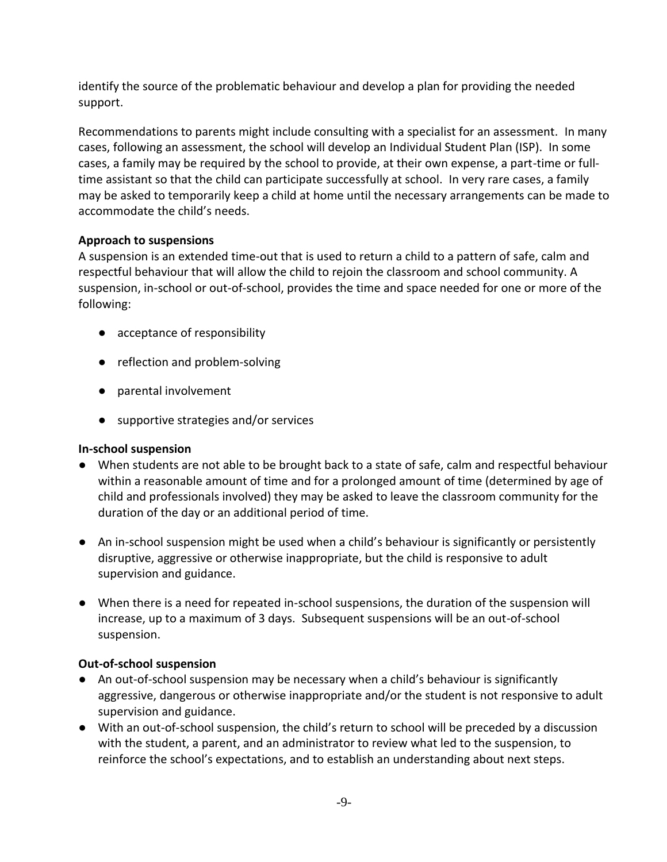identify the source of the problematic behaviour and develop a plan for providing the needed support.

Recommendations to parents might include consulting with a specialist for an assessment. In many cases, following an assessment, the school will develop an Individual Student Plan (ISP). In some cases, a family may be required by the school to provide, at their own expense, a part-time or fulltime assistant so that the child can participate successfully at school. In very rare cases, a family may be asked to temporarily keep a child at home until the necessary arrangements can be made to accommodate the child's needs.

## **Approach to suspensions**

A suspension is an extended time-out that is used to return a child to a pattern of safe, calm and respectful behaviour that will allow the child to rejoin the classroom and school community. A suspension, in-school or out-of-school, provides the time and space needed for one or more of the following:

- acceptance of responsibility
- reflection and problem-solving
- parental involvement
- supportive strategies and/or services

## **In-school suspension**

- When students are not able to be brought back to a state of safe, calm and respectful behaviour within a reasonable amount of time and for a prolonged amount of time (determined by age of child and professionals involved) they may be asked to leave the classroom community for the duration of the day or an additional period of time.
- An in-school suspension might be used when a child's behaviour is significantly or persistently disruptive, aggressive or otherwise inappropriate, but the child is responsive to adult supervision and guidance.
- When there is a need for repeated in-school suspensions, the duration of the suspension will increase, up to a maximum of 3 days. Subsequent suspensions will be an out-of-school suspension.

# **Out-of-school suspension**

- An out-of-school suspension may be necessary when a child's behaviour is significantly aggressive, dangerous or otherwise inappropriate and/or the student is not responsive to adult supervision and guidance.
- With an out-of-school suspension, the child's return to school will be preceded by a discussion with the student, a parent, and an administrator to review what led to the suspension, to reinforce the school's expectations, and to establish an understanding about next steps.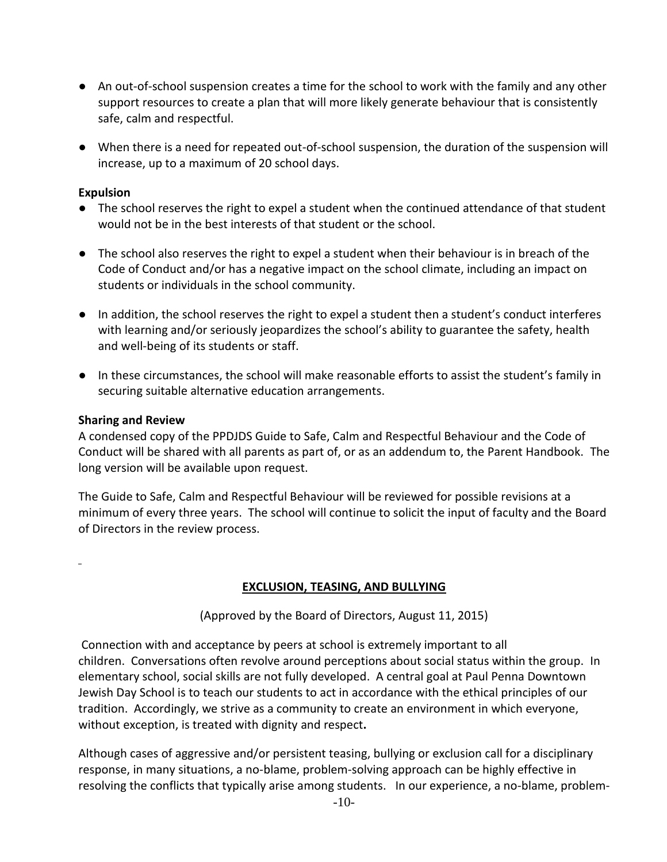- An out-of-school suspension creates a time for the school to work with the family and any other support resources to create a plan that will more likely generate behaviour that is consistently safe, calm and respectful.
- When there is a need for repeated out-of-school suspension, the duration of the suspension will increase, up to a maximum of 20 school days.

#### **Expulsion**

- The school reserves the right to expel a student when the continued attendance of that student would not be in the best interests of that student or the school.
- The school also reserves the right to expel a student when their behaviour is in breach of the Code of Conduct and/or has a negative impact on the school climate, including an impact on students or individuals in the school community.
- In addition, the school reserves the right to expel a student then a student's conduct interferes with learning and/or seriously jeopardizes the school's ability to guarantee the safety, health and well-being of its students or staff.
- In these circumstances, the school will make reasonable efforts to assist the student's family in securing suitable alternative education arrangements.

#### **Sharing and Review**

A condensed copy of the PPDJDS Guide to Safe, Calm and Respectful Behaviour and the Code of Conduct will be shared with all parents as part of, or as an addendum to, the Parent Handbook. The long version will be available upon request.

The Guide to Safe, Calm and Respectful Behaviour will be reviewed for possible revisions at a minimum of every three years. The school will continue to solicit the input of faculty and the Board of Directors in the review process.

## **EXCLUSION, TEASING, AND BULLYING**

(Approved by the Board of Directors, August 11, 2015)

Connection with and acceptance by peers at school is extremely important to all children. Conversations often revolve around perceptions about social status within the group. In elementary school, social skills are not fully developed. A central goal at Paul Penna Downtown Jewish Day School is to teach our students to act in accordance with the ethical principles of our tradition. Accordingly, we strive as a community to create an environment in which everyone, without exception, is treated with dignity and respect**.**

Although cases of aggressive and/or persistent teasing, bullying or exclusion call for a disciplinary response, in many situations, a no-blame, problem-solving approach can be highly effective in resolving the conflicts that typically arise among students. In our experience, a no-blame, problem